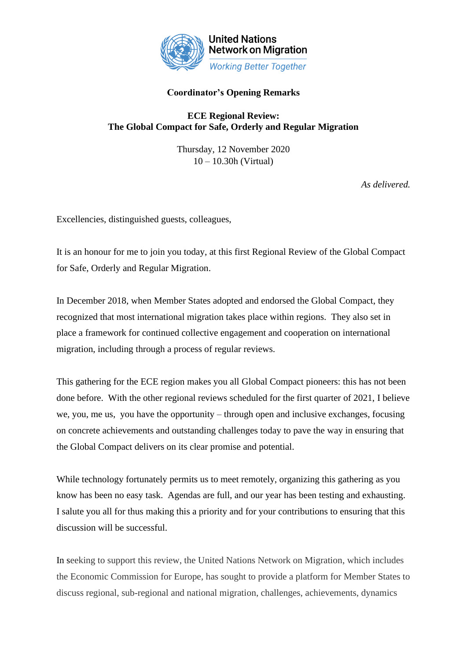

# **Coordinator's Opening Remarks**

## **ECE Regional Review: The Global Compact for Safe, Orderly and Regular Migration**

Thursday, 12 November 2020 10 – 10.30h (Virtual)

*As delivered.*

Excellencies, distinguished guests, colleagues,

It is an honour for me to join you today, at this first Regional Review of the Global Compact for Safe, Orderly and Regular Migration.

In December 2018, when Member States adopted and endorsed the Global Compact, they recognized that most international migration takes place within regions. They also set in place a framework for continued collective engagement and cooperation on international migration, including through a process of regular reviews.

This gathering for the ECE region makes you all Global Compact pioneers: this has not been done before. With the other regional reviews scheduled for the first quarter of 2021, I believe we, you, me us, you have the opportunity – through open and inclusive exchanges, focusing on concrete achievements and outstanding challenges today to pave the way in ensuring that the Global Compact delivers on its clear promise and potential.

While technology fortunately permits us to meet remotely, organizing this gathering as you know has been no easy task. Agendas are full, and our year has been testing and exhausting. I salute you all for thus making this a priority and for your contributions to ensuring that this discussion will be successful.

In seeking to support this review, the United Nations Network on Migration, which includes the Economic Commission for Europe, has sought to provide a platform for Member States to discuss regional, sub-regional and national migration, challenges, achievements, dynamics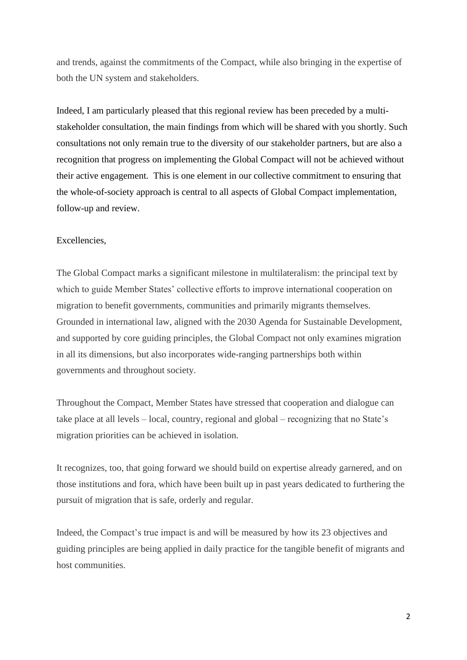and trends, against the commitments of the Compact, while also bringing in the expertise of both the UN system and stakeholders.

Indeed, I am particularly pleased that this regional review has been preceded by a multistakeholder consultation, the main findings from which will be shared with you shortly. Such consultations not only remain true to the diversity of our stakeholder partners, but are also a recognition that progress on implementing the Global Compact will not be achieved without their active engagement. This is one element in our collective commitment to ensuring that the whole-of-society approach is central to all aspects of Global Compact implementation, follow-up and review.

## Excellencies,

The Global Compact marks a significant milestone in multilateralism: the principal text by which to guide Member States' collective efforts to improve international cooperation on migration to benefit governments, communities and primarily migrants themselves. Grounded in international law, aligned with the 2030 Agenda for Sustainable Development, and supported by core guiding principles, the Global Compact not only examines migration in all its dimensions, but also incorporates wide-ranging partnerships both within governments and throughout society.

Throughout the Compact, Member States have stressed that cooperation and dialogue can take place at all levels – local, country, regional and global – recognizing that no State's migration priorities can be achieved in isolation.

It recognizes, too, that going forward we should build on expertise already garnered, and on those institutions and fora, which have been built up in past years dedicated to furthering the pursuit of migration that is safe, orderly and regular.

Indeed, the Compact's true impact is and will be measured by how its 23 objectives and guiding principles are being applied in daily practice for the tangible benefit of migrants and host communities.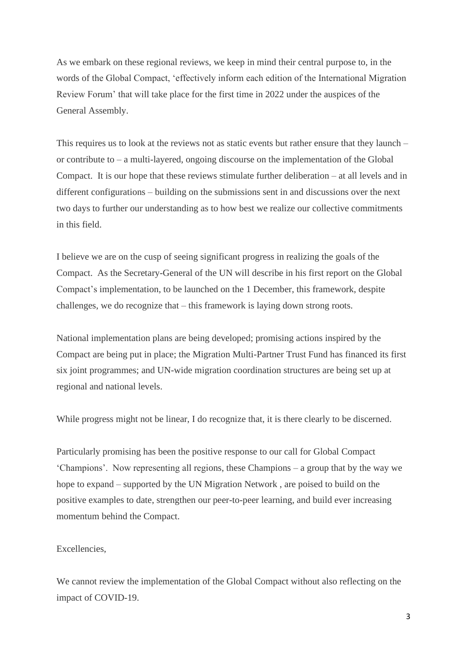As we embark on these regional reviews, we keep in mind their central purpose to, in the words of the Global Compact, 'effectively inform each edition of the International Migration Review Forum' that will take place for the first time in 2022 under the auspices of the General Assembly.

This requires us to look at the reviews not as static events but rather ensure that they launch – or contribute to – a multi-layered, ongoing discourse on the implementation of the Global Compact. It is our hope that these reviews stimulate further deliberation – at all levels and in different configurations – building on the submissions sent in and discussions over the next two days to further our understanding as to how best we realize our collective commitments in this field.

I believe we are on the cusp of seeing significant progress in realizing the goals of the Compact. As the Secretary-General of the UN will describe in his first report on the Global Compact's implementation, to be launched on the 1 December, this framework, despite challenges, we do recognize that – this framework is laying down strong roots.

National implementation plans are being developed; promising actions inspired by the Compact are being put in place; the Migration Multi-Partner Trust Fund has financed its first six joint programmes; and UN-wide migration coordination structures are being set up at regional and national levels.

While progress might not be linear, I do recognize that, it is there clearly to be discerned.

Particularly promising has been the positive response to our call for Global Compact 'Champions'. Now representing all regions, these Champions – a group that by the way we hope to expand – supported by the UN Migration Network , are poised to build on the positive examples to date, strengthen our peer-to-peer learning, and build ever increasing momentum behind the Compact.

### Excellencies,

We cannot review the implementation of the Global Compact without also reflecting on the impact of COVID-19.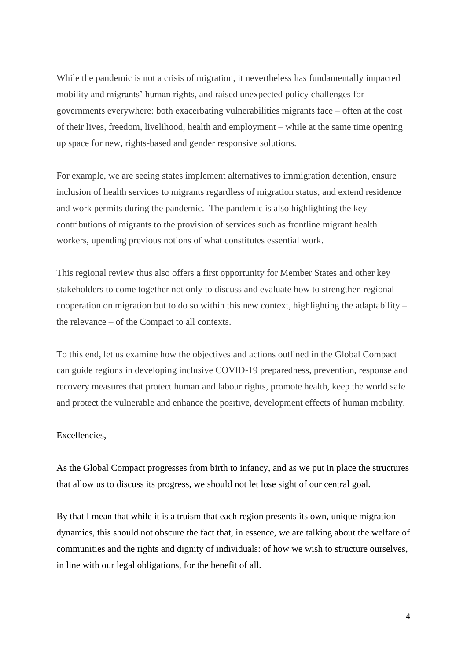While the pandemic is not a crisis of migration, it nevertheless has fundamentally impacted mobility and migrants' human rights, and raised unexpected policy challenges for governments everywhere: both exacerbating vulnerabilities migrants face – often at the cost of their lives, freedom, livelihood, health and employment – while at the same time opening up space for new, rights-based and gender responsive solutions.

For example, we are seeing states implement alternatives to immigration detention, ensure inclusion of health services to migrants regardless of migration status, and extend residence and work permits during the pandemic. The pandemic is also highlighting the key contributions of migrants to the provision of services such as frontline migrant health workers, upending previous notions of what constitutes essential work.

This regional review thus also offers a first opportunity for Member States and other key stakeholders to come together not only to discuss and evaluate how to strengthen regional cooperation on migration but to do so within this new context, highlighting the adaptability – the relevance – of the Compact to all contexts.

To this end, let us examine how the objectives and actions outlined in the Global Compact can guide regions in developing inclusive COVID-19 preparedness, prevention, response and recovery measures that protect human and labour rights, promote health, keep the world safe and protect the vulnerable and enhance the positive, development effects of human mobility.

### Excellencies,

As the Global Compact progresses from birth to infancy, and as we put in place the structures that allow us to discuss its progress, we should not let lose sight of our central goal.

By that I mean that while it is a truism that each region presents its own, unique migration dynamics, this should not obscure the fact that, in essence, we are talking about the welfare of communities and the rights and dignity of individuals: of how we wish to structure ourselves, in line with our legal obligations, for the benefit of all.